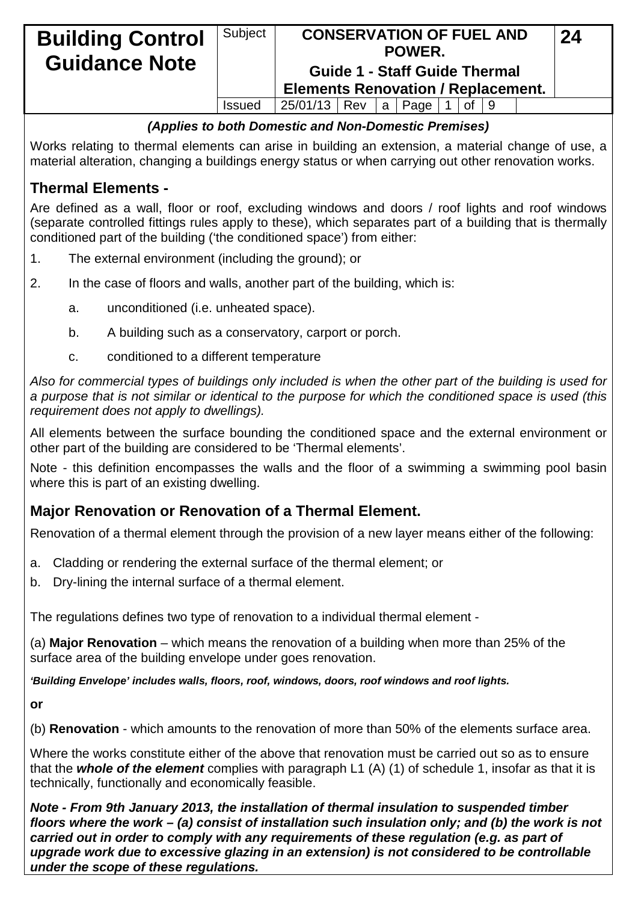| <b>Building Control</b><br><b>Guidance Note</b> | Subject       | <b>Elements Renovation / Replacement.</b> |  | <b>CONSERVATION OF FUEL AND</b><br>POWER.<br><b>Guide 1 - Staff Guide Thermal</b> |              |  | 24 |  |
|-------------------------------------------------|---------------|-------------------------------------------|--|-----------------------------------------------------------------------------------|--------------|--|----|--|
|                                                 | <b>Issued</b> | 25/01/13   Rev   a   Page                 |  |                                                                                   | of $\vert$ 9 |  |    |  |

#### *(Applies to both Domestic and Non-Domestic Premises)*

Works relating to thermal elements can arise in building an extension, a material change of use, a material alteration, changing a buildings energy status or when carrying out other renovation works.

## **Thermal Elements -**

Are defined as a wall, floor or roof, excluding windows and doors / roof lights and roof windows (separate controlled fittings rules apply to these), which separates part of a building that is thermally conditioned part of the building ('the conditioned space') from either:

- 1. The external environment (including the ground); or
- 2. In the case of floors and walls, another part of the building, which is:
	- a. unconditioned (i.e. unheated space).
	- b. A building such as a conservatory, carport or porch.
	- c. conditioned to a different temperature

*Also for commercial types of buildings only included is when the other part of the building is used for a purpose that is not similar or identical to the purpose for which the conditioned space is used (this requirement does not apply to dwellings).*

All elements between the surface bounding the conditioned space and the external environment or other part of the building are considered to be 'Thermal elements'.

Note - this definition encompasses the walls and the floor of a swimming a swimming pool basin where this is part of an existing dwelling.

## **Major Renovation or Renovation of a Thermal Element.**

Renovation of a thermal element through the provision of a new layer means either of the following:

- a. Cladding or rendering the external surface of the thermal element; or
- b. Dry-lining the internal surface of a thermal element.

The regulations defines two type of renovation to a individual thermal element -

(a) **Major Renovation** – which means the renovation of a building when more than 25% of the surface area of the building envelope under goes renovation.

*'Building Envelope' includes walls, floors, roof, windows, doors, roof windows and roof lights.* 

**or** 

(b) **Renovation** - which amounts to the renovation of more than 50% of the elements surface area.

Where the works constitute either of the above that renovation must be carried out so as to ensure that the *whole of the element* complies with paragraph L1 (A) (1) of schedule 1, insofar as that it is technically, functionally and economically feasible.

*Note - From 9th January 2013, the installation of thermal insulation to suspended timber floors where the work – (a) consist of installation such insulation only; and (b) the work is not carried out in order to comply with any requirements of these regulation (e.g. as part of upgrade work due to excessive glazing in an extension) is not considered to be controllable under the scope of these regulations.*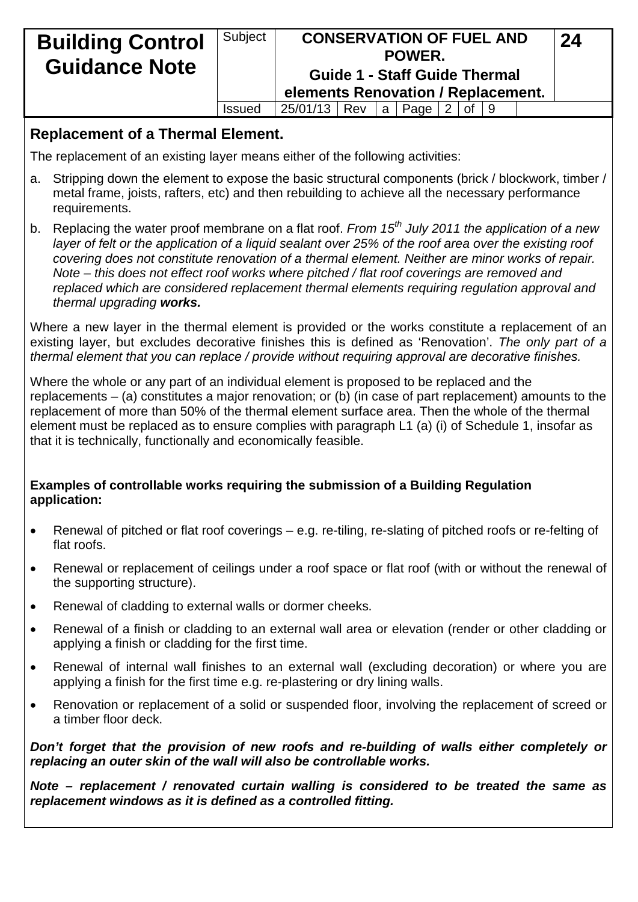| <b>Building Control</b><br><b>Guidance Note</b> | Subject       | elements Renovation / Replacement. |  | <b>CONSERVATION OF FUEL AND</b><br>POWER.<br><b>Guide 1 - Staff Guide Thermal</b> |            |  | 24 |  |
|-------------------------------------------------|---------------|------------------------------------|--|-----------------------------------------------------------------------------------|------------|--|----|--|
|                                                 | <b>Issued</b> | 25/01/13   Rev   a   Page          |  |                                                                                   | 2   of   9 |  |    |  |

#### **Replacement of a Thermal Element.**

The replacement of an existing layer means either of the following activities:

- a. Stripping down the element to expose the basic structural components (brick / blockwork, timber / metal frame, joists, rafters, etc) and then rebuilding to achieve all the necessary performance requirements.
- b. Replacing the water proof membrane on a flat roof. *From 15th July 2011 the application of a new layer of felt or the application of a liquid sealant over 25% of the roof area over the existing roof covering does not constitute renovation of a thermal element. Neither are minor works of repair. Note – this does not effect roof works where pitched / flat roof coverings are removed and replaced which are considered replacement thermal elements requiring regulation approval and thermal upgrading works.*

Where a new layer in the thermal element is provided or the works constitute a replacement of an existing layer, but excludes decorative finishes this is defined as 'Renovation'. *The only part of a thermal element that you can replace / provide without requiring approval are decorative finishes.*

Where the whole or any part of an individual element is proposed to be replaced and the replacements – (a) constitutes a major renovation; or (b) (in case of part replacement) amounts to the replacement of more than 50% of the thermal element surface area. Then the whole of the thermal element must be replaced as to ensure complies with paragraph L1 (a) (i) of Schedule 1, insofar as that it is technically, functionally and economically feasible.

#### **Examples of controllable works requiring the submission of a Building Regulation application:**

- Renewal of pitched or flat roof coverings e.g. re-tiling, re-slating of pitched roofs or re-felting of flat roofs.
- Renewal or replacement of ceilings under a roof space or flat roof (with or without the renewal of the supporting structure).
- Renewal of cladding to external walls or dormer cheeks.
- Renewal of a finish or cladding to an external wall area or elevation (render or other cladding or applying a finish or cladding for the first time.
- Renewal of internal wall finishes to an external wall (excluding decoration) or where you are applying a finish for the first time e.g. re-plastering or dry lining walls.
- Renovation or replacement of a solid or suspended floor, involving the replacement of screed or a timber floor deck.

*Don't forget that the provision of new roofs and re-building of walls either completely or replacing an outer skin of the wall will also be controllable works.*

*Note – replacement / renovated curtain walling is considered to be treated the same as replacement windows as it is defined as a controlled fitting.*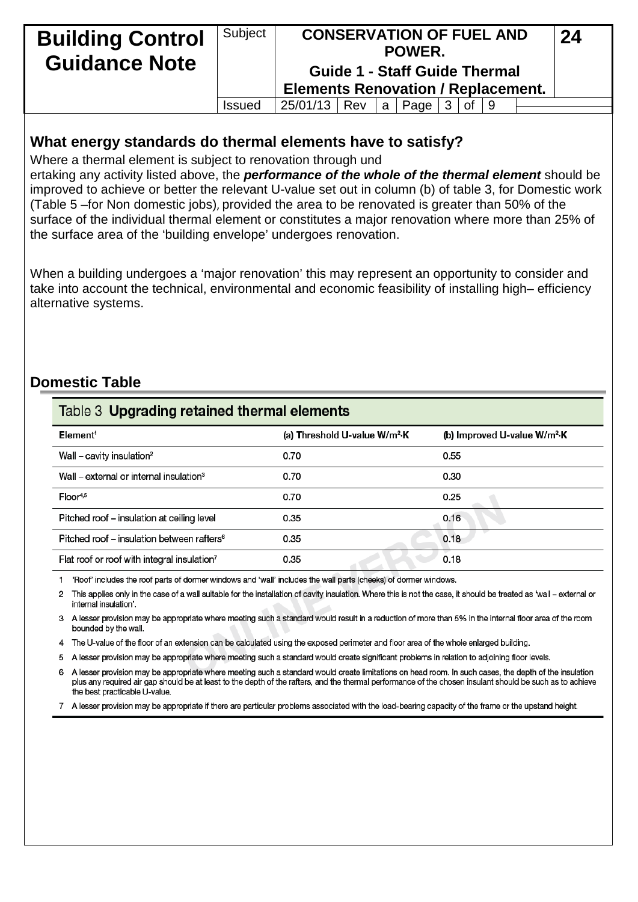| <b>Building Control</b><br><b>Guidance Note</b> | Subject       | <b>Elements Renovation / Replacement.</b> |       | <b>CONSERVATION OF FUEL AND</b><br>POWER.<br><b>Guide 1 - Staff Guide Thermal</b> |    |  | 24 |  |
|-------------------------------------------------|---------------|-------------------------------------------|-------|-----------------------------------------------------------------------------------|----|--|----|--|
|                                                 | <b>Issued</b> | 25/01/13   Rev                            | l a l | Page                                                                              | 0f |  |    |  |

#### **What energy standards do thermal elements have to satisfy?**

Where a thermal element is subject to renovation through und

ertaking any activity listed above, the *performance of the whole of the thermal element* should be improved to achieve or better the relevant U-value set out in column (b) of table 3, for Domestic work (Table 5 –for Non domestic jobs), provided the area to be renovated is greater than 50% of the surface of the individual thermal element or constitutes a major renovation where more than 25% of the surface area of the 'building envelope' undergoes renovation.

When a building undergoes a 'major renovation' this may represent an opportunity to consider and take into account the technical, environmental and economic feasibility of installing high– efficiency alternative systems.

## **Domestic Table**

| Table 3 Upgrading retained thermal elements             |                                           |                                          |  |  |  |  |  |  |  |
|---------------------------------------------------------|-------------------------------------------|------------------------------------------|--|--|--|--|--|--|--|
| Element <sup>1</sup>                                    | (a) Threshold U-value W/m <sup>2</sup> ·K | (b) Improved U-value W/m <sup>2</sup> ·K |  |  |  |  |  |  |  |
| Wall – cavity insulation <sup>2</sup>                   | 0.70                                      | 0.55                                     |  |  |  |  |  |  |  |
| Wall – external or internal insulation <sup>3</sup>     | 0.70                                      | 0.30                                     |  |  |  |  |  |  |  |
| $Floor^{4,5}$                                           | 0.70                                      | 0.25                                     |  |  |  |  |  |  |  |
| Pitched roof - insulation at ceiling level              | 0.35                                      | 0.16                                     |  |  |  |  |  |  |  |
| Pitched roof – insulation between rafters <sup>6</sup>  | 0.35                                      | 0.18                                     |  |  |  |  |  |  |  |
| Flat roof or roof with integral insulation <sup>7</sup> | 0.35                                      | 0.18                                     |  |  |  |  |  |  |  |

1 'Roof' includes the roof parts of dormer windows and 'wall' includes the wall parts (cheeks) of dormer windows.

2 This applies only in the case of a wall suitable for the installation of cavity insulation. Where this is not the case, it should be treated as 'wall - external or internal insulation'.

3 A lesser provision may be appropriate where meeting such a standard would result in a reduction of more than 5% in the internal floor area of the room bounded by the wall.

4 The U-value of the floor of an extension can be calculated using the exposed perimeter and floor area of the whole enlarged building.

5 A lesser provision may be appropriate where meeting such a standard would create significant problems in relation to adjoining floor levels.

6 A lesser provision may be appropriate where meeting such a standard would create limitations on head room. In such cases, the depth of the insulation plus any required air gap should be at least to the depth of the rafters, and the thermal performance of the chosen insulant should be such as to achieve the best practicable U-value

7 A lesser provision may be appropriate if there are particular problems associated with the load-bearing capacity of the frame or the upstand height.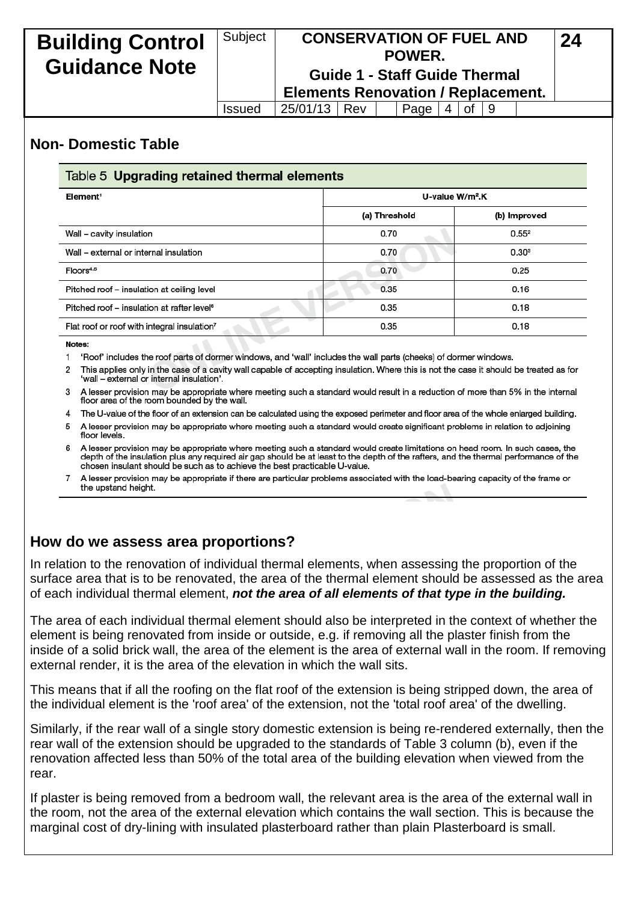| <b>Building Control</b><br><b>Guidance Note</b> | Subject       | <b>Elements Renovation / Replacement.</b> |  | <b>CONSERVATION OF FUEL AND</b><br>POWER.<br><b>Guide 1 - Staff Guide Thermal</b> |              |                               |  | 24 |  |
|-------------------------------------------------|---------------|-------------------------------------------|--|-----------------------------------------------------------------------------------|--------------|-------------------------------|--|----|--|
|                                                 | <b>Issued</b> | 25/01/13   Rev                            |  | Page                                                                              | <sup>4</sup> | $\lceil$ of $\lceil 9 \rceil$ |  |    |  |

### **Non- Domestic Table**

| Table 5 Upgrading retained thermal elements             |                             |                   |  |  |  |  |  |  |  |
|---------------------------------------------------------|-----------------------------|-------------------|--|--|--|--|--|--|--|
| Element <sup>1</sup>                                    | U-value W/m <sup>2</sup> .K |                   |  |  |  |  |  |  |  |
|                                                         | (a) Threshold               | (b) Improved      |  |  |  |  |  |  |  |
| Wall – cavity insulation                                | 0.70                        | 0.55 <sup>2</sup> |  |  |  |  |  |  |  |
| Wall – external or internal insulation                  | 0.70                        | 0.30 <sup>3</sup> |  |  |  |  |  |  |  |
| Floors <sup>4.5</sup>                                   | 0.70                        | 0.25              |  |  |  |  |  |  |  |
| Pitched roof – insulation at ceiling level              | 0.35                        | 0.16              |  |  |  |  |  |  |  |
| Pitched roof – insulation at rafter level <sup>6</sup>  | 0.35                        | 0.18              |  |  |  |  |  |  |  |
| Flat roof or roof with integral insulation <sup>7</sup> | 0.35                        | 0.18              |  |  |  |  |  |  |  |

Notes:

1 'Roof' includes the roof parts of dormer windows, and 'wall' includes the wall parts (cheeks) of dormer windows.

2 This applies only in the case of a cavity wall capable of accepting insulation. Where this is not the case it should be treated as for 'wall - external or internal insulation'.

3 A lesser provision may be appropriate where meeting such a standard would result in a reduction of more than 5% in the internal floor area of the room bounded by the wall.

4 The U-value of the floor of an extension can be calculated using the exposed perimeter and floor area of the whole enlarged building.

A lesser provision may be appropriate where meeting such a standard would create significant problems in relation to adjoining 5 floor levels.

6 A lesser provision may be appropriate where meeting such a standard would create limitations on head room. In such cases, the depth of the insulation plus any required air gap should be at least to the depth of the rafters, and the thermal performance of the chosen insulant should be such as to achieve the best practicable U-value.

A lesser provision may be appropriate if there are particular problems associated with the load-bearing capacity of the frame or the upstand height.

### **How do we assess area proportions?**

In relation to the renovation of individual thermal elements, when assessing the proportion of the surface area that is to be renovated, the area of the thermal element should be assessed as the area of each individual thermal element, *not the area of all elements of that type in the building.*

The area of each individual thermal element should also be interpreted in the context of whether the element is being renovated from inside or outside, e.g. if removing all the plaster finish from the inside of a solid brick wall, the area of the element is the area of external wall in the room. If removing external render, it is the area of the elevation in which the wall sits.

This means that if all the roofing on the flat roof of the extension is being stripped down, the area of the individual element is the 'roof area' of the extension, not the 'total roof area' of the dwelling.

Similarly, if the rear wall of a single story domestic extension is being re-rendered externally, then the rear wall of the extension should be upgraded to the standards of Table 3 column (b), even if the renovation affected less than 50% of the total area of the building elevation when viewed from the rear

If plaster is being removed from a bedroom wall, the relevant area is the area of the external wall in the room, not the area of the external elevation which contains the wall section. This is because the marginal cost of dry-lining with insulated plasterboard rather than plain Plasterboard is small.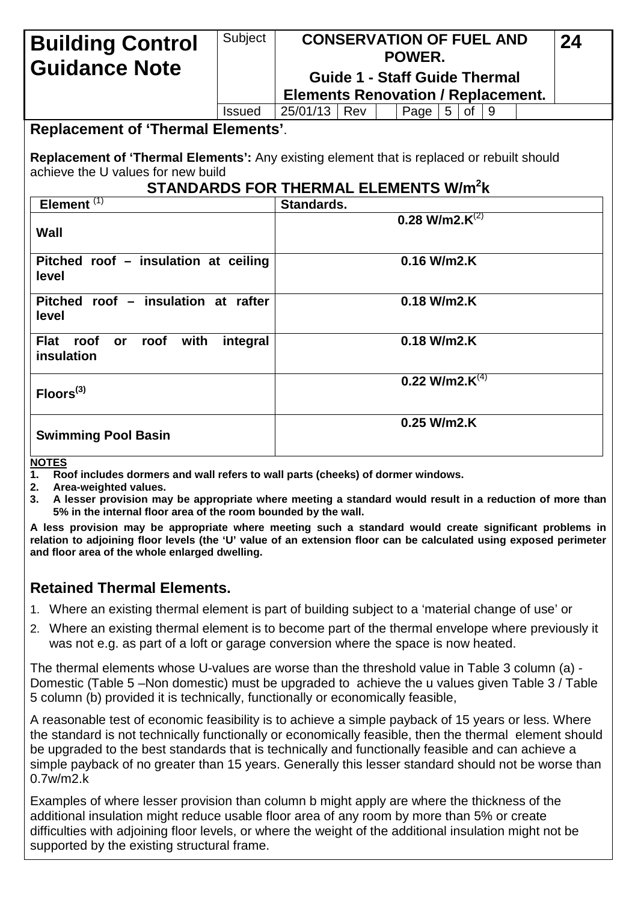| <b>Building Control</b>                                                                                                                                                                    | Subject       | <b>CONSERVATION OF FUEL AND</b><br>POWER. |     |  |                                      |                |    |    | 24 |  |
|--------------------------------------------------------------------------------------------------------------------------------------------------------------------------------------------|---------------|-------------------------------------------|-----|--|--------------------------------------|----------------|----|----|----|--|
| <b>Guidance Note</b>                                                                                                                                                                       |               |                                           |     |  | <b>Guide 1 - Staff Guide Thermal</b> |                |    |    |    |  |
|                                                                                                                                                                                            |               | <b>Elements Renovation / Replacement.</b> |     |  |                                      |                |    |    |    |  |
|                                                                                                                                                                                            | <b>Issued</b> | 25/01/13                                  | Rev |  | Page                                 | 5 <sup>1</sup> | 0f | -9 |    |  |
| <b>Replacement of 'Thermal Elements'.</b>                                                                                                                                                  |               |                                           |     |  |                                      |                |    |    |    |  |
| Replacement of 'Thermal Elements': Any existing element that is replaced or rebuilt should<br>achieve the U values for new build<br><b>STANDARDS FOR THERMAL ELEMENTS W/m<sup>2</sup>k</b> |               |                                           |     |  |                                      |                |    |    |    |  |
| Element $(1)$                                                                                                                                                                              |               | Standards.                                |     |  |                                      |                |    |    |    |  |
| Wall                                                                                                                                                                                       |               |                                           |     |  | 0.28 W/m2. $K^{(2)}$                 |                |    |    |    |  |
| Pitched roof - insulation at ceiling<br>level                                                                                                                                              |               | $0.16$ W/m2.K                             |     |  |                                      |                |    |    |    |  |
| Pitched roof - insulation at rafter<br>level                                                                                                                                               |               | 0.18 W/m2.K                               |     |  |                                      |                |    |    |    |  |
| <b>Flat</b><br>with<br>roof<br>roof<br><b>or</b><br>insulation                                                                                                                             | integral      | $0.18$ W/m2.K                             |     |  |                                      |                |    |    |    |  |
| Floors <sup>(3)</sup>                                                                                                                                                                      |               | $0.22$ W/m2. $K^{(4)}$                    |     |  |                                      |                |    |    |    |  |
| <b>Swimming Pool Basin</b>                                                                                                                                                                 |               | 0.25 W/m2.K                               |     |  |                                      |                |    |    |    |  |
| 10777                                                                                                                                                                                      |               |                                           |     |  |                                      |                |    |    |    |  |

#### **NOTES**

- **1. Roof includes dormers and wall refers to wall parts (cheeks) of dormer windows.**
- **2. Area-weighted values.**
- **3. A lesser provision may be appropriate where meeting a standard would result in a reduction of more than 5% in the internal floor area of the room bounded by the wall.**

**A less provision may be appropriate where meeting such a standard would create significant problems in relation to adjoining floor levels (the 'U' value of an extension floor can be calculated using exposed perimeter and floor area of the whole enlarged dwelling.**

#### **Retained Thermal Elements.**

- 1. Where an existing thermal element is part of building subject to a 'material change of use' or
- 2. Where an existing thermal element is to become part of the thermal envelope where previously it was not e.g. as part of a loft or garage conversion where the space is now heated.

The thermal elements whose U-values are worse than the threshold value in Table 3 column (a) - Domestic (Table 5 –Non domestic) must be upgraded to achieve the u values given Table 3 / Table 5 column (b) provided it is technically, functionally or economically feasible,

A reasonable test of economic feasibility is to achieve a simple payback of 15 years or less. Where the standard is not technically functionally or economically feasible, then the thermal element should be upgraded to the best standards that is technically and functionally feasible and can achieve a simple payback of no greater than 15 years. Generally this lesser standard should not be worse than 0.7w/m2.k

Examples of where lesser provision than column b might apply are where the thickness of the additional insulation might reduce usable floor area of any room by more than 5% or create difficulties with adjoining floor levels, or where the weight of the additional insulation might not be supported by the existing structural frame.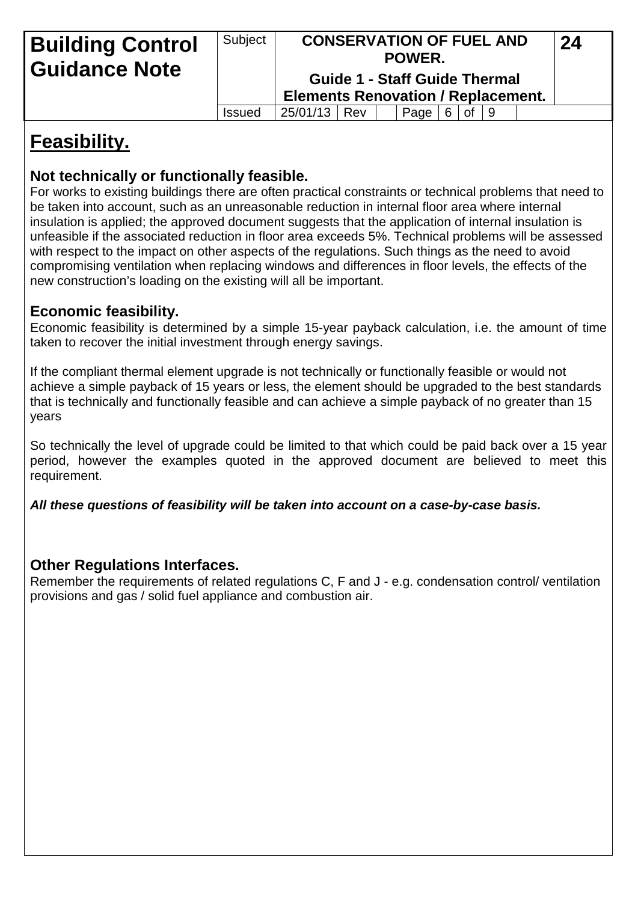| <b>Building Control</b><br><b>Guidance Note</b> | Subject       | <b>Elements Renovation / Replacement.</b> |  | <b>CONSERVATION OF FUEL AND</b><br>POWER.<br><b>Guide 1 - Staff Guide Thermal</b> |   |    |     | 24 |  |
|-------------------------------------------------|---------------|-------------------------------------------|--|-----------------------------------------------------------------------------------|---|----|-----|----|--|
|                                                 | <b>Issued</b> | 25/01/13   Rev                            |  | Page                                                                              | 6 | 0f | l 9 |    |  |

# **Feasibility.**

## **Not technically or functionally feasible.**

For works to existing buildings there are often practical constraints or technical problems that need to be taken into account, such as an unreasonable reduction in internal floor area where internal insulation is applied; the approved document suggests that the application of internal insulation is unfeasible if the associated reduction in floor area exceeds 5%. Technical problems will be assessed with respect to the impact on other aspects of the regulations. Such things as the need to avoid compromising ventilation when replacing windows and differences in floor levels, the effects of the new construction's loading on the existing will all be important.

## **Economic feasibility.**

Economic feasibility is determined by a simple 15-year payback calculation, i.e. the amount of time taken to recover the initial investment through energy savings.

If the compliant thermal element upgrade is not technically or functionally feasible or would not achieve a simple payback of 15 years or less, the element should be upgraded to the best standards that is technically and functionally feasible and can achieve a simple payback of no greater than 15 years

So technically the level of upgrade could be limited to that which could be paid back over a 15 year period, however the examples quoted in the approved document are believed to meet this requirement.

*All these questions of feasibility will be taken into account on a case-by-case basis.* 

## **Other Regulations Interfaces.**

Remember the requirements of related regulations C, F and J - e.g. condensation control/ ventilation provisions and gas / solid fuel appliance and combustion air.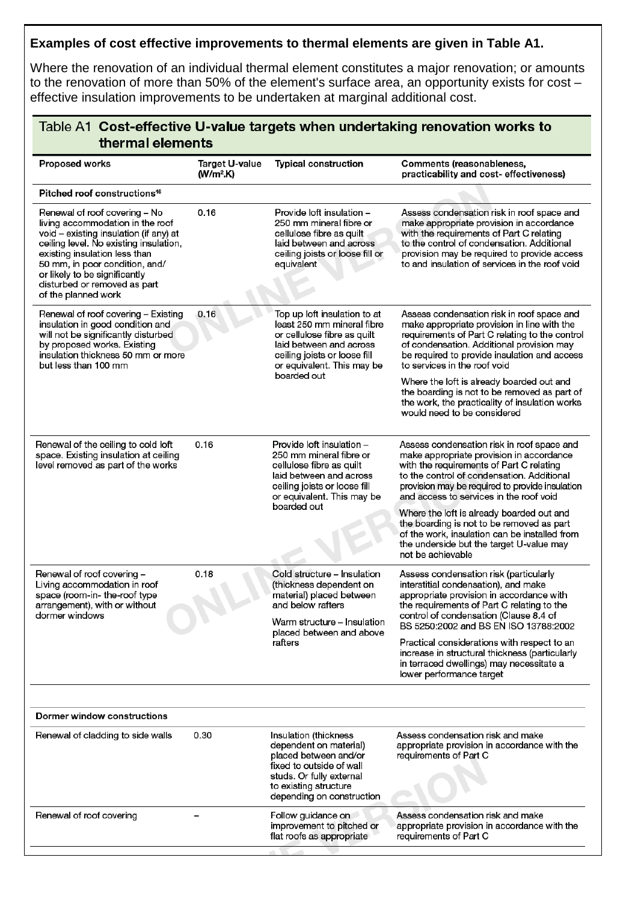## **Examples of cost effective improvements to thermal elements are given in Table A1.**

Where the renovation of an individual thermal element constitutes a major renovation; or amounts to the renovation of more than 50% of the element's surface area, an opportunity exists for cost – effective insulation improvements to be undertaken at marginal additional cost.

| <b>Proposed works</b>                                                                                                                                                                                                                                                                                            | Target U-value<br>$(W/m2$ .K) | <b>Typical construction</b>                                                                                                                                                                       | <b>Comments (reasonableness,</b><br>practicability and cost- effectiveness)                                                                                                                                                                                                                                                                                                                                                                                                                |
|------------------------------------------------------------------------------------------------------------------------------------------------------------------------------------------------------------------------------------------------------------------------------------------------------------------|-------------------------------|---------------------------------------------------------------------------------------------------------------------------------------------------------------------------------------------------|--------------------------------------------------------------------------------------------------------------------------------------------------------------------------------------------------------------------------------------------------------------------------------------------------------------------------------------------------------------------------------------------------------------------------------------------------------------------------------------------|
| Pitched roof constructions <sup>16</sup>                                                                                                                                                                                                                                                                         |                               |                                                                                                                                                                                                   |                                                                                                                                                                                                                                                                                                                                                                                                                                                                                            |
| Renewal of roof covering - No<br>living accommodation in the roof<br>void - existing insulation (if any) at<br>ceiling level. No existing insulation,<br>existing insulation less than<br>50 mm, in poor condition, and/<br>or likely to be significantly<br>disturbed or removed as part<br>of the planned work | 0.16                          | Provide loft insulation -<br>250 mm mineral fibre or<br>cellulose fibre as quilt<br>laid between and across<br>ceiling joists or loose fill or<br>equivalent                                      | Assess condensation risk in roof space and<br>make appropriate provision in accordance<br>with the requirements of Part C relating<br>to the control of condensation. Additional<br>provision may be required to provide access<br>to and insulation of services in the roof void                                                                                                                                                                                                          |
| Renewal of roof covering - Existing<br>insulation in good condition and<br>will not be significantly disturbed<br>by proposed works. Existing<br>insulation thickness 50 mm or more<br>but less than 100 mm                                                                                                      | 0.16                          | Top up loft insulation to at<br>least 250 mm mineral fibre<br>or cellulose fibre as quilt<br>laid between and across<br>ceiling joists or loose fill<br>or equivalent. This may be<br>boarded out | Assess condensation risk in roof space and<br>make appropriate provision in line with the<br>requirements of Part C relating to the control<br>of condensation. Additional provision may<br>be required to provide insulation and access<br>to services in the roof void<br>Where the loft is already boarded out and<br>the boarding is not to be removed as part of<br>the work, the practicality of insulation works<br>would need to be considered                                     |
| Renewal of the ceiling to cold loft<br>space. Existing insulation at ceiling<br>level removed as part of the works                                                                                                                                                                                               | 0.16                          | Provide loft insulation -<br>250 mm mineral fibre or<br>cellulose fibre as quilt<br>laid between and across<br>ceiling joists or loose fill<br>or equivalent. This may be<br>boarded out          | Assess condensation risk in roof space and<br>make appropriate provision in accordance<br>with the requirements of Part C relating<br>to the control of condensation. Additional<br>provision may be required to provide insulation<br>and access to services in the roof void<br>Where the loft is already boarded out and<br>the boarding is not to be removed as part<br>of the work, insulation can be installed from<br>the underside but the target U-value may<br>not be achievable |
| Renewal of roof covering -<br>Living accommodation in roof<br>space (room-in- the-roof type<br>arrangement), with or without<br>dormer windows                                                                                                                                                                   | 0.18                          | Cold structure - Insulation<br>(thickness dependent on<br>material) placed between<br>and below rafters<br>Warm structure - Insulation<br>placed between and above<br>rafters                     | Assess condensation risk (particularly<br>interstitial condensation), and make<br>appropriate provision in accordance with<br>the requirements of Part C relating to the<br>control of condensation (Clause 8.4 of<br>BS 5250:2002 and BS EN ISO 13788:2002<br>Practical considerations with respect to an<br>increase in structural thickness (particularly<br>in terraced dwellings) may necessitate a<br>lower performance target                                                       |
| Dormer window constructions                                                                                                                                                                                                                                                                                      |                               |                                                                                                                                                                                                   |                                                                                                                                                                                                                                                                                                                                                                                                                                                                                            |
| Renewal of cladding to side walls                                                                                                                                                                                                                                                                                | 0.30                          | Insulation (thickness<br>dependent on material)<br>placed between and/or<br>fixed to outside of wall<br>studs. Or fully external<br>to existing structure<br>depending on construction            | Assess condensation risk and make<br>appropriate provision in accordance with the<br>requirements of Part C                                                                                                                                                                                                                                                                                                                                                                                |
| Renewal of roof covering                                                                                                                                                                                                                                                                                         |                               | Follow guidance on<br>improvement to pitched or<br>flat roofs as appropriate                                                                                                                      | Assess condensation risk and make<br>appropriate provision in accordance with the<br>requirements of Part C                                                                                                                                                                                                                                                                                                                                                                                |
|                                                                                                                                                                                                                                                                                                                  |                               |                                                                                                                                                                                                   |                                                                                                                                                                                                                                                                                                                                                                                                                                                                                            |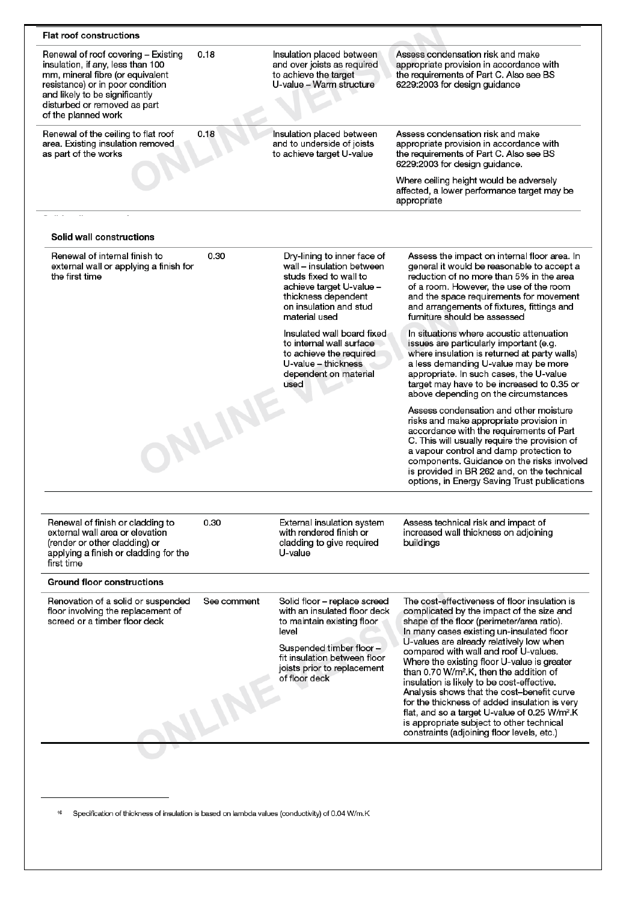| <b>Flat roof constructions</b>                                                                                                                                                                                                            |                             |                                                                                                                                                                                                                 |                                                                                                                                                                                                                                                                                                                                                                                                                                                                                                                                                                                                                                         |
|-------------------------------------------------------------------------------------------------------------------------------------------------------------------------------------------------------------------------------------------|-----------------------------|-----------------------------------------------------------------------------------------------------------------------------------------------------------------------------------------------------------------|-----------------------------------------------------------------------------------------------------------------------------------------------------------------------------------------------------------------------------------------------------------------------------------------------------------------------------------------------------------------------------------------------------------------------------------------------------------------------------------------------------------------------------------------------------------------------------------------------------------------------------------------|
| Renewal of roof covering - Existing<br>insulation, if any, less than 100<br>mm, mineral fibre (or equivalent<br>resistance) or in poor condition<br>and likely to be significantly<br>disturbed or removed as part<br>of the planned work | 0.18                        | Insulation placed between<br>and over joists as required<br>to achieve the target<br>U-value - Warm structure                                                                                                   | Assess condensation risk and make<br>appropriate provision in accordance with<br>the requirements of Part C. Also see BS<br>6229:2003 for design guidance                                                                                                                                                                                                                                                                                                                                                                                                                                                                               |
| Renewal of the ceiling to flat roof<br>area. Existing insulation removed<br>as part of the works                                                                                                                                          | 0.18                        | Insulation placed between<br>and to underside of joists<br>to achieve target U-value                                                                                                                            | Assess condensation risk and make<br>appropriate provision in accordance with<br>the requirements of Part C. Also see BS<br>6229:2003 for design guidance.                                                                                                                                                                                                                                                                                                                                                                                                                                                                              |
|                                                                                                                                                                                                                                           |                             |                                                                                                                                                                                                                 | Where ceiling height would be adversely<br>affected, a lower performance target may be<br>appropriate                                                                                                                                                                                                                                                                                                                                                                                                                                                                                                                                   |
|                                                                                                                                                                                                                                           |                             |                                                                                                                                                                                                                 |                                                                                                                                                                                                                                                                                                                                                                                                                                                                                                                                                                                                                                         |
| Solid wall constructions                                                                                                                                                                                                                  |                             |                                                                                                                                                                                                                 |                                                                                                                                                                                                                                                                                                                                                                                                                                                                                                                                                                                                                                         |
| Renewal of internal finish to<br>external wall or applying a finish for<br>the first time                                                                                                                                                 | 0.30                        | Dry-lining to inner face of<br>wall - insulation between<br>studs fixed to wall to<br>achieve target U-value -<br>thickness dependent<br>on insulation and stud<br>material used                                | Assess the impact on internal floor area. In<br>general it would be reasonable to accept a<br>reduction of no more than 5% in the area<br>of a room. However, the use of the room<br>and the space requirements for movement<br>and arrangements of fixtures, fittings and<br>furniture should be assessed                                                                                                                                                                                                                                                                                                                              |
|                                                                                                                                                                                                                                           |                             | Insulated wall board fixed<br>to internal wall surface<br>to achieve the required<br>U-value - thickness<br>dependent on material<br>used                                                                       | In situations where acoustic attenuation<br>issues are particularly important (e.g.<br>where insulation is returned at party walls)<br>a less demanding U-value may be more<br>appropriate. In such cases, the U-value<br>target may have to be increased to 0.35 or<br>above depending on the circumstances                                                                                                                                                                                                                                                                                                                            |
|                                                                                                                                                                                                                                           | <b>WLINE</b>                |                                                                                                                                                                                                                 | Assess condensation and other moisture<br>risks and make appropriate provision in<br>accordance with the requirements of Part<br>C. This will usually require the provision of<br>a vapour control and damp protection to<br>components. Guidance on the risks involved<br>is provided in BR 262 and, on the technical<br>options, in Energy Saving Trust publications                                                                                                                                                                                                                                                                  |
|                                                                                                                                                                                                                                           |                             |                                                                                                                                                                                                                 |                                                                                                                                                                                                                                                                                                                                                                                                                                                                                                                                                                                                                                         |
| Renewal of finish or cladding to<br>external wall area or elevation<br>(render or other cladding) or<br>applying a finish or cladding for the<br>first time                                                                               | 0.30                        | External insulation system<br>with rendered finish or<br>cladding to give required<br>U-value                                                                                                                   | Assess technical risk and impact of<br>increased wall thickness on adjoining<br>buildings                                                                                                                                                                                                                                                                                                                                                                                                                                                                                                                                               |
| <b>Ground floor constructions</b>                                                                                                                                                                                                         |                             |                                                                                                                                                                                                                 |                                                                                                                                                                                                                                                                                                                                                                                                                                                                                                                                                                                                                                         |
| Renovation of a solid or suspended<br>floor involving the replacement of<br>screed or a timber floor deck                                                                                                                                 | See comment<br><b>ILINE</b> | Solid floor - replace screed<br>with an insulated floor deck<br>to maintain existing floor<br>level<br>Suspended timber floor -<br>fit insulation between floor<br>joists prior to replacement<br>of floor deck | The cost-effectiveness of floor insulation is<br>complicated by the impact of the size and<br>shape of the floor (perimeter/area ratio).<br>In many cases existing un-insulated floor<br>U-values are already relatively low when<br>compared with wall and roof U-values.<br>Where the existing floor U-value is greater<br>than 0.70 W/m <sup>2</sup> .K, then the addition of<br>insulation is likely to be cost-effective.<br>Analysis shows that the cost-benefit curve<br>for the thickness of added insulation is very<br>flat, and so a target U-value of 0.25 W/m <sup>2</sup> .K<br>is appropriate subject to other technical |

<sup>16</sup> Specification of thickness of insulation is based on lambda values (conductivity) of 0.04 W/m.K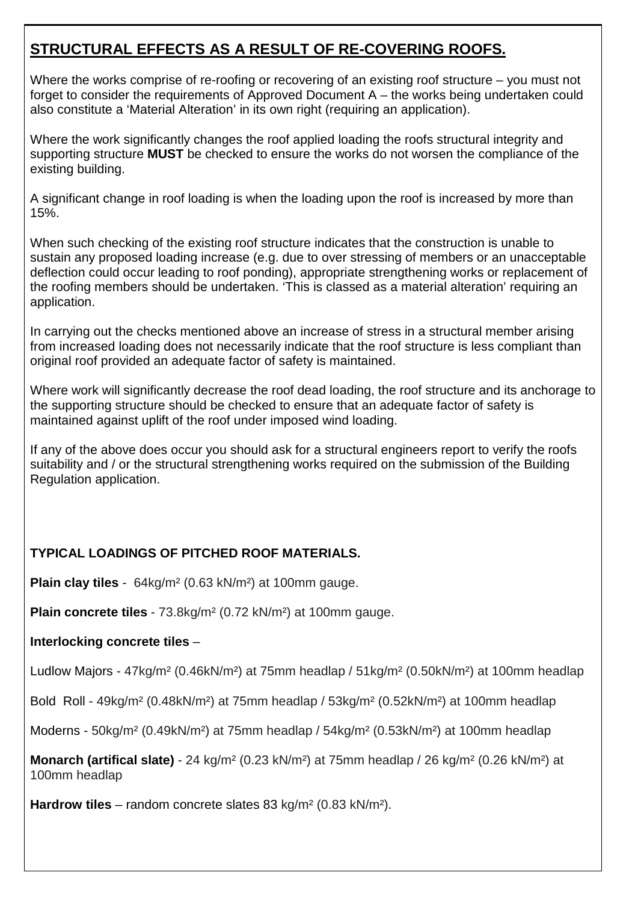## **STRUCTURAL EFFECTS AS A RESULT OF RE-COVERING ROOFS.**

Where the works comprise of re-roofing or recovering of an existing roof structure – you must not forget to consider the requirements of Approved Document A – the works being undertaken could also constitute a 'Material Alteration' in its own right (requiring an application).

Where the work significantly changes the roof applied loading the roofs structural integrity and supporting structure **MUST** be checked to ensure the works do not worsen the compliance of the existing building.

A significant change in roof loading is when the loading upon the roof is increased by more than 15%.

When such checking of the existing roof structure indicates that the construction is unable to sustain any proposed loading increase (e.g. due to over stressing of members or an unacceptable deflection could occur leading to roof ponding), appropriate strengthening works or replacement of the roofing members should be undertaken. 'This is classed as a material alteration' requiring an application.

In carrying out the checks mentioned above an increase of stress in a structural member arising from increased loading does not necessarily indicate that the roof structure is less compliant than original roof provided an adequate factor of safety is maintained.

Where work will significantly decrease the roof dead loading, the roof structure and its anchorage to the supporting structure should be checked to ensure that an adequate factor of safety is maintained against uplift of the roof under imposed wind loading.

If any of the above does occur you should ask for a structural engineers report to verify the roofs suitability and / or the structural strengthening works required on the submission of the Building Regulation application.

## **TYPICAL LOADINGS OF PITCHED ROOF MATERIALS.**

**Plain clay tiles** - 64kg/m² (0.63 kN/m²) at 100mm gauge.

**Plain concrete tiles** - 73.8kg/m² (0.72 kN/m²) at 100mm gauge.

### **Interlocking concrete tiles** –

Ludlow Majors - 47kg/m² (0.46kN/m²) at 75mm headlap / 51kg/m² (0.50kN/m²) at 100mm headlap

Bold Roll - 49kg/m² (0.48kN/m²) at 75mm headlap / 53kg/m² (0.52kN/m²) at 100mm headlap

Moderns - 50kg/m² (0.49kN/m²) at 75mm headlap / 54kg/m² (0.53kN/m²) at 100mm headlap

**Monarch (artifical slate)** - 24 kg/m² (0.23 kN/m²) at 75mm headlap / 26 kg/m² (0.26 kN/m²) at 100mm headlap

**Hardrow tiles** – random concrete slates 83 kg/m² (0.83 kN/m²).